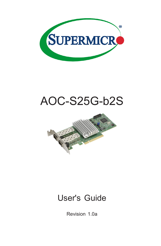

# AOC-S25G-b2S



## User's Guide

Revision 1.0a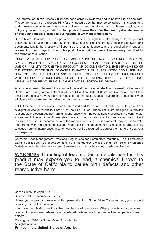The information in this User's Guide has been carefully reviewed and is believed to be accurate. The vendor assumes no responsibility for any inaccuracies that may be contained in this document, and makes no commitment to update or to keep current the information in this user's guide, or to notify any person or organization of the updates. **Please Note: For the most up-to-date version of this user's guide, please see our Website at www.supermicro.com.**

Super Micro Computer, Inc. ("Supermicro") reserves the right to make changes to the product described in this user's guide at any time and without notice. This product, including software and documentation, is the property of Supermicro and/or its licensors, and is supplied only under a license. Any use or reproduction of this product is not allowed, except as expressly permitted by the terms of said license.

IN NO EVENT WILL SUPER MICRO COMPUTER, INC. BE LIABLE FOR DIRECT, INDIRECT, SPECIAL, INCIDENTAL, SPECULATIVE OR CONSEQUENTIAL DAMAGES ARISING FROM THE USE OR INABILITY TO USE THIS PRODUCT OR DOCUMENTATION, EVEN IF ADVISED OF THE POSSIBILITY OF SUCH DAMAGES. IN PARTICULAR, SUPER MICRO COMPUTER, INC. SHALL NOT HAVE LIABILITY FOR ANY HARDWARE, SOFTWARE, OR DATA STORED OR USED WITH THE PRODUCT, INCLUDING THE COSTS OF REPAIRING, REPLACING, INTEGRATING, INSTALLING OR RECOVERING SUCH HARDWARE, SOFTWARE, OR DATA.

Any disputes arising between the manufacturer and the customer shall be governed by the laws of Santa Clara County in the State of California, USA. The State of California, County of Santa Clara shall be the exclusive venue for the resolution of any such disputes. Supermicro's total liability for all claims will not exceed the price paid for the hardware product.

FCC Statement: This equipment has been tested and found to comply with the limits for a Class A digital device pursuant to Part 15 of the FCC Rules. These limits are designed to provide reasonable protection against harmful interference when the equipment is operated in a commercial environment. This equipment generates, uses, and can radiate radio frequency energy and, if not installed and used in accordance with the manufacturer's instruction manual, may cause harmful interference with radio communications. Operation of this equipment in a residential area is likely to cause harmful interference, in which case you will be required to correct the interference at your own expense.

California Best Management Practices Regulations for Perchlorate Materials: This Perchlorate warning applies only to products containing CR (Manganese Dioxide) Lithium coin cells. "Perchlorate Material-special handling may apply. See www.dtsc.ca.gov/hazardouswaste/perchlorate".

WARNING: Handling of lead solder materials used in this product may expose you to lead, a chemical known to the State of California to cause birth defects and other reproductive harm.

User's Guide Revision 1.0a

Release Date: December 20, 2017

Unless you request and receive written permission from Super Micro Computer, Inc., you may not copy any part of this document.

Information in this document is subject to change without notice. Other products and companies referred to herein are trademarks or registered trademarks of their respective companies or mark holders.

Copyright © 2016 by Super Micro Computer, Inc.

All rights reserved.

**Printed in the United States of America**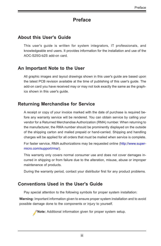## **Preface**

## **About this User's Guide**

This user's guide is written for system integrators, IT professionals, and knowledgeable end users. It provides information for the installation and use of the AOC-S25G-b2S add-on card.

## **An Important Note to the User**

All graphic images and layout drawings shown in this user's guide are based upon the latest PCB revision available at the time of publishing of this user's guide. The add-on card you have received may or may not look exactly the same as the graphics shown in this user's guide.

## **Returning Merchandise for Service**

A receipt or copy of your invoice marked with the date of purchase is required before any warranty service will be rendered. You can obtain service by calling your vendor for a Returned Merchandise Authorization (RMA) number. When returning to the manufacturer, the RMA number should be prominently displayed on the outside of the shipping carton and mailed prepaid or hand-carried. Shipping and handling charges will be applied for all orders that must be mailed when service is complete.

For faster service, RMA authorizations may be requested online (http://www.supermicro.com/support/rma/).

This warranty only covers normal consumer use and does not cover damages incurred in shipping or from failure due to the alteration, misuse, abuse or improper maintenance of products.

During the warranty period, contact your distributor first for any product problems.

## **Conventions Used in the User's Guide**

Pay special attention to the following symbols for proper system installation:

**Warning:** Important information given to ensure proper system installation and to avoid possible damage done to the components or injury to yourself.

**Note:** Additional information given for proper system setup.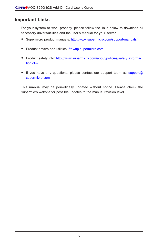## **Important Links**

For your system to work properly, please follow the links below to download all necessary drivers/utilities and the user's manual for your server.

- Supermicro product manuals: http://www.supermicro.com/support/manuals/
- Product drivers and utilities: ftp://ftp.supermicro.com
- Product safety info: http://www.supermicro.com/about/policies/safety information.cfm
- If you have any questions, please contact our support team at: support@ supermicro.com

This manual may be periodically updated without notice. Please check the Supermicro website for possible updates to the manual revision level.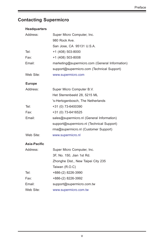## **Contacting Supermicro**

| <b>Headquarters</b> |                                                |  |  |
|---------------------|------------------------------------------------|--|--|
| Address:            | Super Micro Computer, Inc.                     |  |  |
|                     | 980 Rock Ave.                                  |  |  |
|                     | San Jose, CA 95131 U.S.A.                      |  |  |
| Tel:                | +1 (408) 503-8000                              |  |  |
| Fax:                | +1 (408) 503-8008                              |  |  |
| Email:              | marketing@supermicro.com (General Information) |  |  |
|                     | support@supermicro.com (Technical Support)     |  |  |
| Web Site:           | www.supermicro.com                             |  |  |
| <b>Europe</b>       |                                                |  |  |
| Address:            | Super Micro Computer B.V.                      |  |  |
|                     | Het Sterrenbeeld 28, 5215 ML                   |  |  |
|                     | 's-Hertogenbosch, The Netherlands              |  |  |
| Tel:                | +31 (0) 73-6400390                             |  |  |
| Fax:                | +31 (0) 73-6416525                             |  |  |
| Email:              | sales@supermicro.nl (General Information)      |  |  |
|                     | support@supermicro.nl (Technical Support)      |  |  |
|                     | rma@supermicro.nl (Customer Support)           |  |  |
| Web Site:           | www.supermicro.nl                              |  |  |
| Asia-Pacific        |                                                |  |  |
| Address:            | Super Micro Computer, Inc.                     |  |  |
|                     | 3F, No. 150, Jian 1st Rd.                      |  |  |
|                     | Zhonghe Dist., New Taipei City 235             |  |  |
|                     | Taiwan (R.O.C)                                 |  |  |
| Tel:                | +886-(2) 8226-3990                             |  |  |
| Fax:                | +886-(2) 8226-3992                             |  |  |
| Email:              | support@supermicro.com.tw                      |  |  |
| Web Site:           | www.supermicro.com.tw                          |  |  |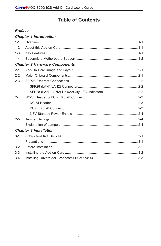## **Table of Contents**

#### **Preface**

#### **Chapter 1 Introduction**

| $1 - 1$ |                                      |
|---------|--------------------------------------|
| $1 - 2$ |                                      |
| $1 - 3$ |                                      |
| $1 - 4$ |                                      |
|         | <b>Chapter 2 Hardware Components</b> |
| $2 - 1$ |                                      |
| $2 - 2$ |                                      |
| $2 - 3$ |                                      |
|         |                                      |
|         |                                      |
| $2 - 4$ |                                      |
|         |                                      |
|         |                                      |
|         |                                      |
| $2 - 5$ |                                      |
|         |                                      |
|         | <b>Chapter 3 Installation</b>        |
| $3 - 1$ |                                      |
|         |                                      |
| $3-2$   |                                      |
| $3 - 3$ |                                      |
| $3 - 4$ |                                      |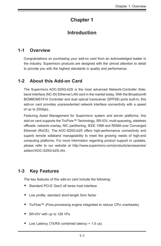## **Chapter 1**

## **Introduction**

## **1-1 Overview**

Congratulations on purchasing your add-on card from an acknowledged leader in the industry. Supermicro products are designed with the utmost attention to detail to provide you with the highest standards in quality and performance.

## **1-2 About this Add-on Card**

The Supermicro AOC-S25G-b2S is the most advanced Network-Controller Sideband Interface (NC-SI) Ethernet LAN card in the market today. With the Broadcom® BCMBCM57414 Controller and dual optical transceiver (SFP28) ports built-in, this add-on card provides unprecedented network interface connectivity with a speed of up to 25Gbps.

Featuring Asset Management for Supermicro system and server platforms, this add-on card supports the TruFlow™ Technology, SR-IOV, multi-queueing, stateless offloads, network overlay, NIC partitioning, IEEE 1588 and RDMA over Converged Ethernet (RoCE). The AOC-S25G-b2S offers high-performance connectivity and superb remote sideband manageability to meet the growing needs of high-end computing platforms. For more information regarding product support or updates, please refer to our website at http://www.supermicro.com/products/accessories/ addon//AOC-S25G-b2S.cfm.

## **1-3 Key Features**

The key features of this add-on card include the following:

- Standard PCI-E Gen3 x8 lanes host interface
- Low profile, standard short-length form factor
- TruFlow™ (Flow-processing engine integrated to reduce CPU overheads)
- SR-IOV with up to 128 VFs
- Low Latency (TX/RX combined latency = 1.5 us)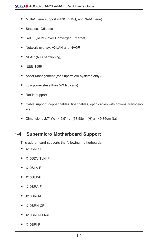- Multi-Queue support (NDIS, VMQ, and Net-Queue)
- Stateless Offloads
- RoCE (RDMA over Converged Ethernet)
- Network overlay: VXLAN and NVGR
- NPAR (NIC partitioning)
- IEEE 1588
- Asset Management (for Supermicro systems only)
- Low power (less than 5W typically)
- RoSH support
- Cable support: copper cables, fiber cables, optic cables with optional transceivers
- Dimensions 2.7" (W) x 5.9" (L) (68.58cm (H) x 149.86cm (L))

## **1-4 Supermicro Motherboard Support**

This add-on card supports the following motherboards:

- X10SRD-F
- X10SDV-TLN4F
- X10SLA-F
- X10SLX-F
- X10SRA-F
- X10SRG-F
- X10SRH-CF
- X10SRH-CLN4F
- X10SRi-F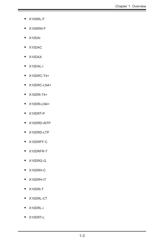- X10SRL-F
- X10SRW-F
- X10DAi
- X10DAC
- X10DAX
- X10DAL-i
- X10DRC-T4+
- X10DRC-LN4+
- X10DRi-T4+
- X10DRi-LN4+
- X10DRT-P
- X10DRD-iNTP
- X10DRD-LTP
- X10DRFF-C
- X10DRFR-T
- X10DRG-Q
- X10DRH-C
- X10DRH-iT
- X10DRi-T
- X10DRL-CT
- X10DRL-i
- X10DRT-L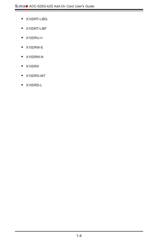- X10DRT-LIBQ
- X10DRT-LIBF
- X10DRU-i+
- X10DRW-E
- X10DRW-N
- X10DRX
- X10DRD-iNT
- X10DRD-L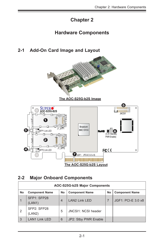## **Chapter 2**

## **Hardware Components**

## **2-1 Add-On Card Image and Layout**



## **2-2 Major Onboard Components**

| AOC-S25G-b2S Major Components |                       |    |                       |    |                       |  |
|-------------------------------|-----------------------|----|-----------------------|----|-----------------------|--|
| No                            | <b>Component Name</b> | No | <b>Component Name</b> | No | <b>Component Name</b> |  |
|                               | SFP1: SFP28<br>(LAN1) | 4  | <b>LAN2 Link LED</b>  |    | JGF1: PCI-E 3.0 x8    |  |
|                               | SFP2: SFP28<br>(LAN2) | 5  | JNCSI1: NCSI header   |    |                       |  |
| 3                             | <b>LAN1 Link LED</b>  | 6  | JP2: Stby PWR Enable  |    |                       |  |

**The AOC-S25G-b2S Layout**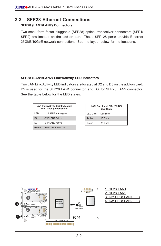### **2-3 SFP28 Ethernet Connections**

#### **SFP28 (LAN1/LAN2) Connectors**

Two small form-factor pluggable (SFP28) optical transceiver connectors (SFP1/ SFP2) are located on the add-on card. These SFP 28 ports provide Ethernet 25GbE/10GbE network connections. See the layout below for the locations.

#### **SFP28 (LAN1/LAN2) Link/Activity LED Indicators**

Two LAN Link/Activity LED indicators are located at D2 and D3 on the add-on card. D2 is used for the SFP28 LAN1 connector, and D3, for SFP28 LAN2 connector. See the table below for the LED states.

| <b>LAN Port Activity LED Indicators</b><br>D2/D3 Assignment/State |                            |  |  |  |
|-------------------------------------------------------------------|----------------------------|--|--|--|
| LED                                                               | <b>LAN Port Assigned</b>   |  |  |  |
| D2                                                                | <b>SFP LAN1 Active</b>     |  |  |  |
| D <sub>3</sub>                                                    | <b>SFP LAN2 Active</b>     |  |  |  |
| Green                                                             | <b>SFP LAN Port Active</b> |  |  |  |

| LAN Port Link LEDs (D2/D3)<br><b>LED State</b> |         |  |  |  |  |
|------------------------------------------------|---------|--|--|--|--|
| <b>LED Color</b> Definition                    |         |  |  |  |  |
| Amber                                          | 10 Gbps |  |  |  |  |
| Green                                          | 25 Gbps |  |  |  |  |

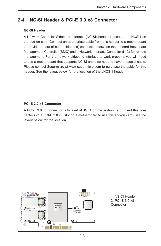## **2-4 NC-SI Header & PCI-E 3.0 x8 Connector**

#### **NC-SI Header**

A Network-Controller Sideband Interface (NC-SI) header is located at JNCSI1 on the add-on card. Connect an appropriate cable from this header to a motherboard to provide the out-of-band (sideband) connection between the onboard Baseboard Management Controller (BMC) and a Network Interface Controller (NIC) for remote management. For the network sideband interface to work properly, you will need to use a motherboard that supports NC-SI and also need to have a special cable. Please contact Supermicro at www.supermicro.com to purchase the cable for this header. See the layout below for the location of the JNCSI1 header.

#### **PCI-E 3.0 x8 Connector**

A PCI-E 3.0 x8 connector is located at JGF1 on the add-on card. Insert this connector into a PCI-E 3.0 x 8 slot on a motherboard to use this add-on card. See the layout below for the location.

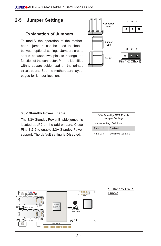## **2-5 Jumper Settings**

#### **Explanation of Jumpers**

To modify the operation of the motherboard, jumpers can be used to choose between optional settings. Jumpers create shorts between two pins to change the function of the connector. Pin 1 is identified with a square solder pad on the printed circuit board. See the motherboard layout pages for jumper locations.



#### **3.3V Standby Power Enable**

The 3.3V Standby Power Enable jumper is located at JP2 on the add-on card. Close Pins 1 & 2 to enable 3.3V Standby Power support. The default setting is **Disabled**.

| 3.3V Standby PWR Enable<br><b>Jumper Settings</b> |                    |  |  |
|---------------------------------------------------|--------------------|--|--|
| Jumper setting Definition                         |                    |  |  |
| <b>Plns: 1-2</b>                                  | Enabled            |  |  |
| Plns: 2-3                                         | Disabled (default) |  |  |



1. Standby PWR Enable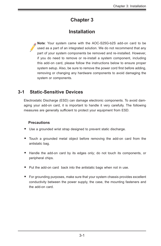## **Chapter 3**

## **Installation**

**Note**: Your system came with the AOC-S25G-b2S add-on card to be used as a part of an integrated solution. We do not recommend that any part of your system components be removed and re-installed. However, if you do need to remove or re-install a system component, including this add-on card, please follow the instructions below to ensure proper system setup. Also, be sure to remove the power cord first before adding, removing or changing any hardware components to avoid damaging the system or components.

## **3-1 Static-Sensitive Devices**

Electrostatic Discharge (ESD) can damage electronic components. To avoid damaging your add-on card, it is important to handle it very carefully. The following measures are generally sufficient to protect your equipment from ESD.

#### **Precautions**

- Use a grounded wrist strap designed to prevent static discharge.
- Touch a grounded metal object before removing the add-on card from the antistatic bag.
- Handle the add-on card by its edges only; do not touch its components, or peripheral chips.
- Put the add-on card back into the antistatic bags when not in use.
- For grounding purposes, make sure that your system chassis provides excellent conductivity between the power supply, the case, the mounting fasteners and the add-on card.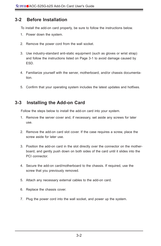## **3-2 Before Installation**

To install the add-on card properly, be sure to follow the instructions below.

- 1. Power down the system.
- 2. Remove the power cord from the wall socket.
- 3. Use industry-standard anti-static equipment (such as gloves or wrist strap) and follow the instructions listed on Page 3-1 to avoid damage caused by ESD.
- 4. Familiarize yourself with the server, motherboard, and/or chassis documentation.
- 5. Confirm that your operating system includes the latest updates and hotfixes.

## **3-3 Installing the Add-on Card**

Follow the steps below to install the add-on card into your system.

- 1. Remove the server cover and, if necessary, set aside any screws for later use.
- 2. Remove the add-on card slot cover. If the case requires a screw, place the screw aside for later use.
- 3. Position the add-on card in the slot directly over the connector on the motherboard, and gently push down on both sides of the card until it slides into the PCI connector.
- 4. Secure the add-on card/motherboard to the chassis. If required, use the screw that you previously removed.
- 5. Attach any necessary external cables to the add-on card.
- 6. Replace the chassis cover.
- 7. Plug the power cord into the wall socket, and power up the system.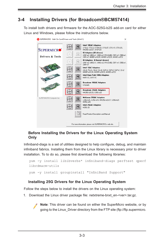## **3-4 Installing Drivers (for Broadcom®BCM57414)**

To install both drivers and firmware for the AOC-S25G-b2S add-on card for either Linux and Windows, please follow the instructions below.



#### **Before Installing the Drivers for the Linux Operating System Only**

Infiniband-diags is a set of utilities designed to help configure, debug, and maintain infiniband fabrics. Installing them from the Linux library is necessary prior to driver installation. To to do so, please first download the following libraries:

```
yum -y install libibverbs* infiniband-diags perftest qperf 
librdmacm-utils
yum -y install groupinstall "InfiniBand Support"
```
#### **Installing 25G Drivers for the Linux Operating System**

Follow the steps below to install the drivers on the Linux operating system:

1. Download the Linux driver package file: netxtreme-bnxt\_en-<ver>.tar.gz.

**Note**: This driver can be found on either the SuperMicro website, or by going to the Linux\_Driver directory from the FTP site (ftp://ftp.supermicro.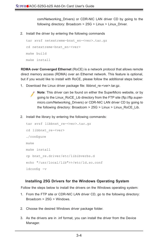com/Networking\_Drivers) or CDR-NIC LAN driver CD by going to the following directory: Broadcom > 25G > Linux > Linux Driver.

2. Install the driver by entering the following commands

```
tar xvzf netextreme-bnxt_en-<ver>.tar.gz
cd netextreme-bnxt en-<ver>
make build
make install
```
**RDMA over Converged Ethernet** (RoCE) is a network protocol that allows remote direct memory access (RDMA) over an Ethernet network. This feature is optional, but if you would like to install with RoCE, please follow the additional steps below:

- 1. Download the Linux driver package file: libbnxt re-<ver>tar.gz.
	- **Note**: This driver can be found on either the SuperMicro website, or by going to the Linux\_RoCE\_Lib directory from the FTP site (ftp://ftp.supermicro.com/Networking\_Drivers) or CDR-NIC LAN driver CD by going to the following directory: Broadcom > 25G > Linux > Linux\_RoCE\_Lib.
- 2. Install the library by entering the following commands:

```
tar xvzf libbnxt_re-<ver>.tar.gz
cd libbnxt_re-<ver>
./configure
make
make install
cp bnxt_re.driver/etc/libibverbs.d 
echo "/usr/local/lib">>/etc/ld.so.conf
ldconfig -v
```
#### **Installing 25G Drivers for the Windows Operating System**

Follow the steps below to install the drivers on the Windows operating system:

- 1. From the FTP site or CDR-NIC LAN driver CD, go to the following directory: Broadcom > 25G > Windows.
- 2. Choose the desired Windows driver package folder.
- 3. As the drivers are in .inf format, you can install the driver from the Device Manager.